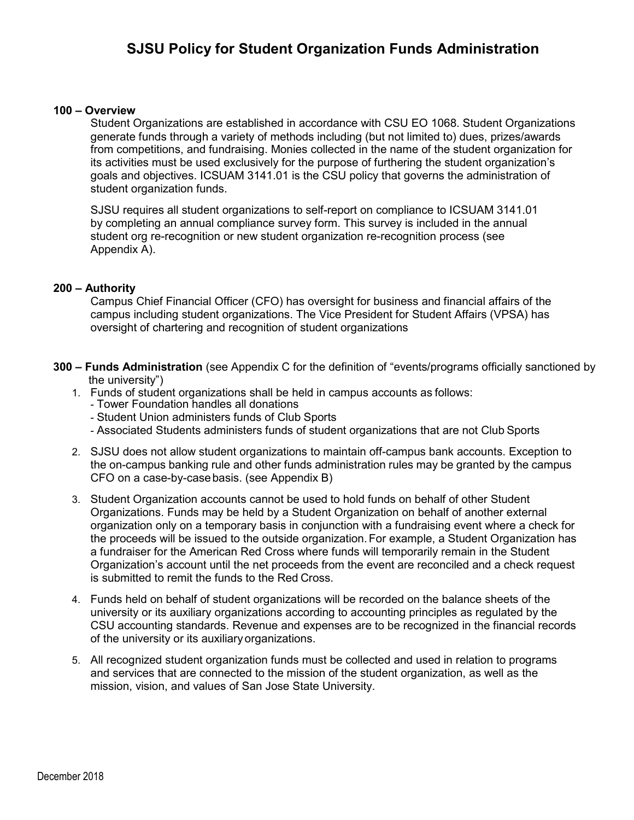# **SJSU Policy for Student Organization Funds Administration**

#### **100 – Overview**

Student Organizations are established in accordance with CSU EO 1068. Student Organizations generate funds through a variety of methods including (but not limited to) dues, prizes/awards from competitions, and fundraising. Monies collected in the name of the student organization for its activities must be used exclusively for the purpose of furthering the student organization's goals and objectives. ICSUAM 3141.01 is the CSU policy that governs the administration of student organization funds.

SJSU requires all student organizations to self-report on compliance to ICSUAM 3141.01 by completing an annual compliance survey form. This survey is included in the annual student org re-recognition or new student organization re-recognition process (see Appendix A).

#### **200 – Authority**

Campus Chief Financial Officer (CFO) has oversight for business and financial affairs of the campus including student organizations. The Vice President for Student Affairs (VPSA) has oversight of chartering and recognition of student organizations

- **300 Funds Administration** (see Appendix C for the definition of "events/programs officially sanctioned by the university")
	- 1. Funds of student organizations shall be held in campus accounts as follows:
		- Tower Foundation handles all donations
		- Student Union administers funds of Club Sports
		- Associated Students administers funds of student organizations that are not Club Sports
	- 2. SJSU does not allow student organizations to maintain off-campus bank accounts. Exception to the on-campus banking rule and other funds administration rules may be granted by the campus CFO on a case-by-case basis. (see Appendix B)
	- 3. Student Organization accounts cannot be used to hold funds on behalf of other Student Organizations. Funds may be held by a Student Organization on behalf of another external organization only on a temporary basis in conjunction with a fundraising event where a check for the proceeds will be issued to the outside organization.For example, a Student Organization has a fundraiser for the American Red Cross where funds will temporarily remain in the Student Organization's account until the net proceeds from the event are reconciled and a check request is submitted to remit the funds to the Red Cross.
	- 4. Funds held on behalf of student organizations will be recorded on the balance sheets of the university or its auxiliary organizations according to accounting principles as regulated by the CSU accounting standards. Revenue and expenses are to be recognized in the financial records of the university or its auxiliary organizations.
	- 5. All recognized student organization funds must be collected and used in relation to programs and services that are connected to the mission of the student organization, as well as the mission, vision, and values of San Jose State University.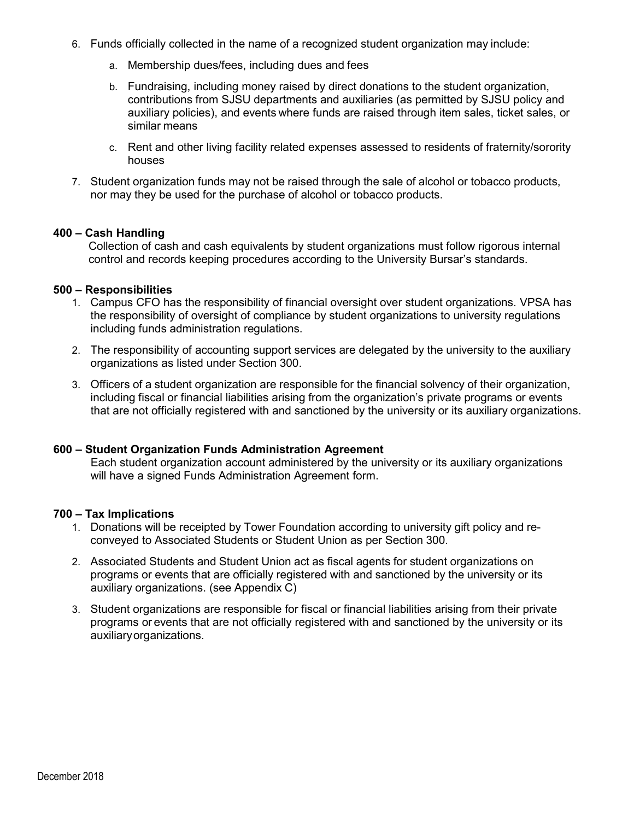- 6. Funds officially collected in the name of a recognized student organization may include:
	- a. Membership dues/fees, including dues and fees
	- b. Fundraising, including money raised by direct donations to the student organization, contributions from SJSU departments and auxiliaries (as permitted by SJSU policy and auxiliary policies), and events where funds are raised through item sales, ticket sales, or similar means
	- c. Rent and other living facility related expenses assessed to residents of fraternity/sorority houses
- 7. Student organization funds may not be raised through the sale of alcohol or tobacco products, nor may they be used for the purchase of alcohol or tobacco products.

## **400 – Cash Handling**

Collection of cash and cash equivalents by student organizations must follow rigorous internal control and records keeping procedures according to the University Bursar's standards.

## **500 – Responsibilities**

- 1. Campus CFO has the responsibility of financial oversight over student organizations. VPSA has the responsibility of oversight of compliance by student organizations to university regulations including funds administration regulations.
- 2. The responsibility of accounting support services are delegated by the university to the auxiliary organizations as listed under Section 300.
- 3. Officers of a student organization are responsible for the financial solvency of their organization, including fiscal or financial liabilities arising from the organization's private programs or events that are not officially registered with and sanctioned by the university or its auxiliary organizations.

## **600 – Student Organization Funds Administration Agreement**

Each student organization account administered by the university or its auxiliary organizations will have a signed Funds Administration Agreement form.

## **700 – Tax Implications**

- 1. Donations will be receipted by Tower Foundation according to university gift policy and reconveyed to Associated Students or Student Union as per Section 300.
- 2. Associated Students and Student Union act as fiscal agents for student organizations on programs or events that are officially registered with and sanctioned by the university or its auxiliary organizations. (see Appendix C)
- 3. Student organizations are responsible for fiscal or financial liabilities arising from their private programs or events that are not officially registered with and sanctioned by the university or its auxiliaryorganizations.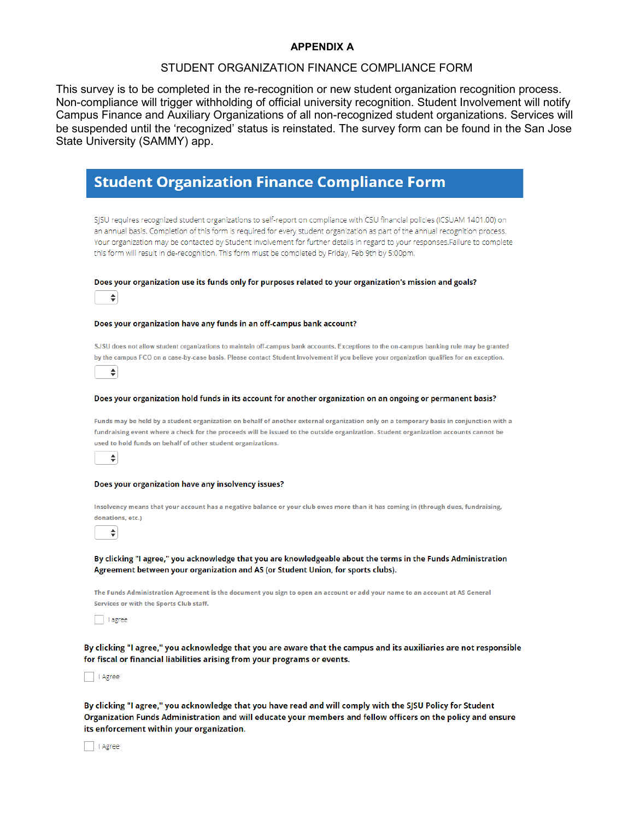#### **APPENDIX A**

# STUDENT ORGANIZATION FINANCE COMPLIANCE FORM

This survey is to be completed in the re-recognition or new student organization recognition process. Non-compliance will trigger withholding of official university recognition. Student Involvement will notify Campus Finance and Auxiliary Organizations of all non-recognized student organizations. Services will be suspended until the 'recognized' status is reinstated. The survey form can be found in the San Jose State University (SAMMY) app.

|                                         | <b>Student Organization Finance Compliance Form</b>                                                                                                                                                                                                                                                                                                                                                                                                                                                  |
|-----------------------------------------|------------------------------------------------------------------------------------------------------------------------------------------------------------------------------------------------------------------------------------------------------------------------------------------------------------------------------------------------------------------------------------------------------------------------------------------------------------------------------------------------------|
|                                         | SJSU requires recognized student organizations to self-report on compliance with CSU financial policies (ICSUAM 1401.00) on<br>an annual basis. Completion of this form is required for every student organization as part of the annual recognition process.<br>Your organization may be contacted by Student Involvement for further details in regard to your responses.Failure to complete<br>this form will result in de-recognition. This form must be completed by Friday, Feb 9th by 5:00pm. |
| ÷                                       | Does your organization use its funds only for purposes related to your organization's mission and goals?                                                                                                                                                                                                                                                                                                                                                                                             |
|                                         | Does your organization have any funds in an off-campus bank account?                                                                                                                                                                                                                                                                                                                                                                                                                                 |
| ÷                                       | SJSU does not allow student organizations to maintain off-campus bank accounts. Exceptions to the on-campus banking rule may be granted<br>by the campus FCO on a case-by-case basis. Please contact Student Involvement if you believe your organization qualifies for an exception.                                                                                                                                                                                                                |
|                                         | Does your organization hold funds in its account for another organization on an ongoing or permanent basis?                                                                                                                                                                                                                                                                                                                                                                                          |
| ÷                                       | Funds may be held by a student organization on behalf of another external organization only on a temporary basis in conjunction with a<br>fundraising event where a check for the proceeds will be issued to the outside organization. Student organization accounts cannot be<br>used to hold funds on behalf of other student organizations.                                                                                                                                                       |
|                                         | Does your organization have any insolvency issues?                                                                                                                                                                                                                                                                                                                                                                                                                                                   |
| donations, etc.)<br>÷                   | Insolvency means that your account has a negative balance or your club owes more than it has coming in (through dues, fundraising,                                                                                                                                                                                                                                                                                                                                                                   |
|                                         | By clicking "I agree," you acknowledge that you are knowledgeable about the terms in the Funds Administration                                                                                                                                                                                                                                                                                                                                                                                        |
|                                         | Agreement between your organization and AS (or Student Union, for sports clubs).                                                                                                                                                                                                                                                                                                                                                                                                                     |
| Services or with the Sports Club staff. | The Funds Administration Agreement is the document you sign to open an account or add your name to an account at AS General                                                                                                                                                                                                                                                                                                                                                                          |

By clicking "I agree," you acknowledge that you have read and will comply with the SJSU Policy for Student Organization Funds Administration and will educate your members and fellow officers on the policy and ensure its enforcement within your organization.

| | Agree

| | Agree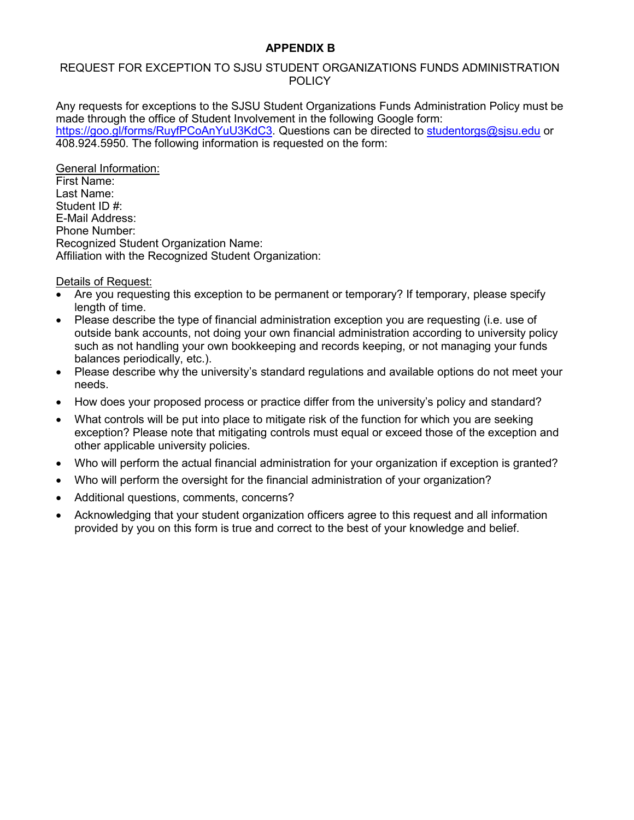# **APPENDIX B**

# REQUEST FOR EXCEPTION TO SJSU STUDENT ORGANIZATIONS FUNDS ADMINISTRATION **POLICY**

Any requests for exceptions to the SJSU Student Organizations Funds Administration Policy must be made through the office of Student Involvement in the following Google form: [https://goo.gl/forms/RuyfPCoAnYuU3KdC3.](https://goo.gl/forms/RuyfPCoAnYuU3KdC3) Questions can be directed to [studentorgs@sjsu.edu](mailto:studentorgs@sjsu.edu) or 408.924.5950. The following information is requested on the form:

General Information: First Name: Last Name: Student ID # E-Mail Address: Phone Number: Recognized Student Organization Name: Affiliation with the Recognized Student Organization:

Details of Request:

- Are you requesting this exception to be permanent or temporary? If temporary, please specify length of time.
- Please describe the type of financial administration exception you are requesting (i.e. use of outside bank accounts, not doing your own financial administration according to university policy such as not handling your own bookkeeping and records keeping, or not managing your funds balances periodically, etc.).
- Please describe why the university's standard regulations and available options do not meet your needs.
- How does your proposed process or practice differ from the university's policy and standard?
- What controls will be put into place to mitigate risk of the function for which you are seeking exception? Please note that mitigating controls must equal or exceed those of the exception and other applicable university policies.
- Who will perform the actual financial administration for your organization if exception is granted?
- Who will perform the oversight for the financial administration of your organization?
- Additional questions, comments, concerns?
- Acknowledging that your student organization officers agree to this request and all information provided by you on this form is true and correct to the best of your knowledge and belief.